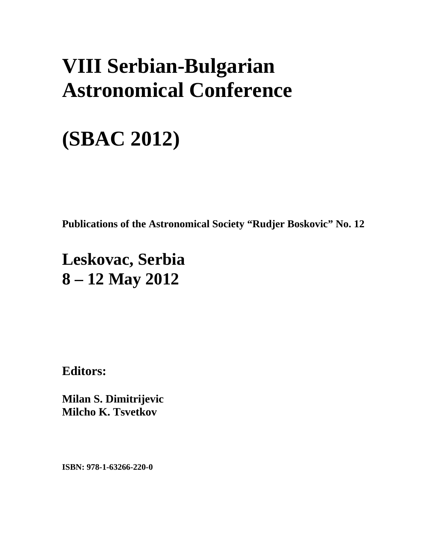## **VIII Serbian-Bulgarian Astronomical Conference**

# **(SBAC 2012)**

**Publications of the Astronomical Society "Rudjer Boskovic" No. 12** 

### **Leskovac, Serbia 8 – 12 May 2012**

**Editors:** 

**Milan S. Dimitrijevic Milcho K. Tsvetkov** 

**ISBN: 978-1-63266-220-0**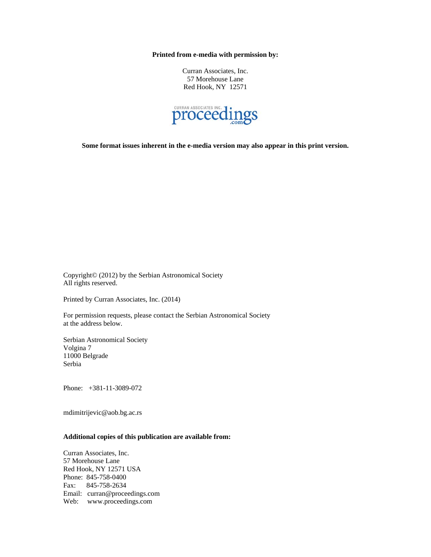**Printed from e-media with permission by:** 

Curran Associates, Inc. 57 Morehouse Lane Red Hook, NY 12571



**Some format issues inherent in the e-media version may also appear in this print version.** 

Copyright© (2012) by the Serbian Astronomical Society All rights reserved.

Printed by Curran Associates, Inc. (2014)

For permission requests, please contact the Serbian Astronomical Society at the address below.

Serbian Astronomical Society Volgina 7 11000 Belgrade Serbia

Phone: +381-11-3089-072

mdimitrijevic@aob.bg.ac.rs

#### **Additional copies of this publication are available from:**

Curran Associates, Inc. 57 Morehouse Lane Red Hook, NY 12571 USA Phone: 845-758-0400 Fax: 845-758-2634 Email: curran@proceedings.com Web: www.proceedings.com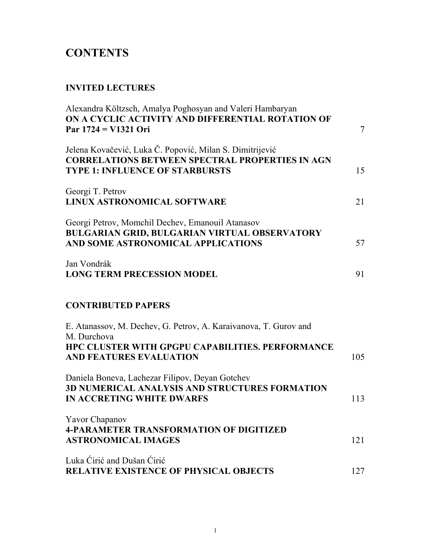### **CONTENTS**

#### **INVITED LECTURES**

| Alexandra Költzsch, Amalya Poghosyan and Valeri Hambaryan<br>ON A CYCLIC ACTIVITY AND DIFFERENTIAL ROTATION OF<br>Par 1724 = V1321 Ori                       | $\overline{7}$ |
|--------------------------------------------------------------------------------------------------------------------------------------------------------------|----------------|
| Jelena Kovačević, Luka Č. Popović, Milan S. Dimitrijević<br><b>CORRELATIONS BETWEEN SPECTRAL PROPERTIES IN AGN</b><br><b>TYPE 1: INFLUENCE OF STARBURSTS</b> | 15             |
| Georgi T. Petrov<br>LINUX ASTRONOMICAL SOFTWARE                                                                                                              | 21             |
| Georgi Petrov, Momchil Dechev, Emanouil Atanasov<br>BULGARIAN GRID, BULGARIAN VIRTUAL OBSERVATORY<br>AND SOME ASTRONOMICAL APPLICATIONS                      | 57             |
| Jan Vondrák<br><b>LONG TERM PRECESSION MODEL</b>                                                                                                             | 91             |
| <b>CONTRIBUTED PAPERS</b>                                                                                                                                    |                |
| E. Atanassov, M. Dechev, G. Petrov, A. Karaivanova, T. Gurov and                                                                                             |                |
| M. Durchova<br>HPC CLUSTER WITH GPGPU CAPABILITIES. PERFORMANCE<br>AND FEATURES EVALUATION                                                                   | 105            |
| Daniela Boneva, Lachezar Filipov, Deyan Gotchev<br>3D NUMERICAL ANALYSIS AND STRUCTURES FORMATION<br><b>IN ACCRETING WHITE DWARFS</b>                        | 113            |
| Yavor Chapanov<br><b>4-PARAMETER TRANSFORMATION OF DIGITIZED</b><br><b>ASTRONOMICAL IMAGES</b>                                                               | 121            |
| Luka Cirić and Dušan Cirić<br><b>RELATIVE EXISTENCE OF PHYSICAL OBJECTS</b>                                                                                  | 127            |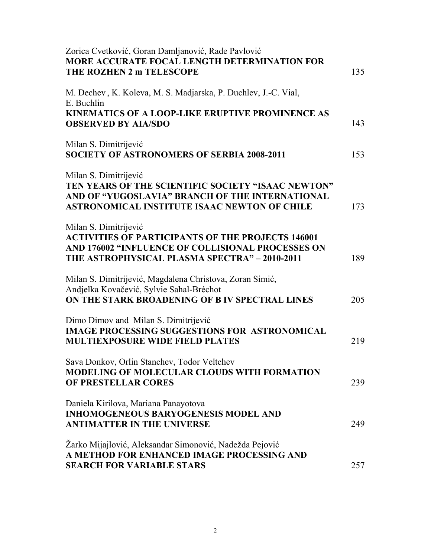| Zorica Cvetković, Goran Damljanović, Rade Pavlović<br>MORE ACCURATE FOCAL LENGTH DETERMINATION FOR<br>THE ROZHEN 2 m TELESCOPE                                                          | 135 |
|-----------------------------------------------------------------------------------------------------------------------------------------------------------------------------------------|-----|
| M. Dechev, K. Koleva, M. S. Madjarska, P. Duchlev, J.-C. Vial,<br>E. Buchlin                                                                                                            |     |
| <b>KINEMATICS OF A LOOP-LIKE ERUPTIVE PROMINENCE AS</b><br><b>OBSERVED BY AIA/SDO</b>                                                                                                   | 143 |
| Milan S. Dimitrijević<br><b>SOCIETY OF ASTRONOMERS OF SERBIA 2008-2011</b>                                                                                                              | 153 |
| Milan S. Dimitrijević<br>TEN YEARS OF THE SCIENTIFIC SOCIETY "ISAAC NEWTON"<br>AND OF "YUGOSLAVIA" BRANCH OF THE INTERNATIONAL<br><b>ASTRONOMICAL INSTITUTE ISAAC NEWTON OF CHILE</b>   | 173 |
| Milan S. Dimitrijević<br><b>ACTIVITIES OF PARTICIPANTS OF THE PROJECTS 146001</b><br>AND 176002 "INFLUENCE OF COLLISIONAL PROCESSES ON<br>THE ASTROPHYSICAL PLASMA SPECTRA" - 2010-2011 | 189 |
| Milan S. Dimitrijević, Magdalena Christova, Zoran Simić,<br>Andjelka Kovačević, Sylvie Sahal-Bréchot<br>ON THE STARK BROADENING OF B IV SPECTRAL LINES                                  | 205 |
| Dimo Dimov and Milan S. Dimitrijević<br><b>IMAGE PROCESSING SUGGESTIONS FOR ASTRONOMICAL</b><br><b>MULTIEXPOSURE WIDE FIELD PLATES</b>                                                  | 219 |
| Sava Donkov, Orlin Stanchev, Todor Veltchev<br><b>MODELING OF MOLECULAR CLOUDS WITH FORMATION</b><br>OF PRESTELLAR CORES                                                                | 239 |
| Daniela Kirilova, Mariana Panayotova<br><b>INHOMOGENEOUS BARYOGENESIS MODEL AND</b><br><b>ANTIMATTER IN THE UNIVERSE</b>                                                                | 249 |
| Žarko Mijajlović, Aleksandar Simonović, Nadežda Pejović<br>A METHOD FOR ENHANCED IMAGE PROCESSING AND<br><b>SEARCH FOR VARIABLE STARS</b>                                               | 257 |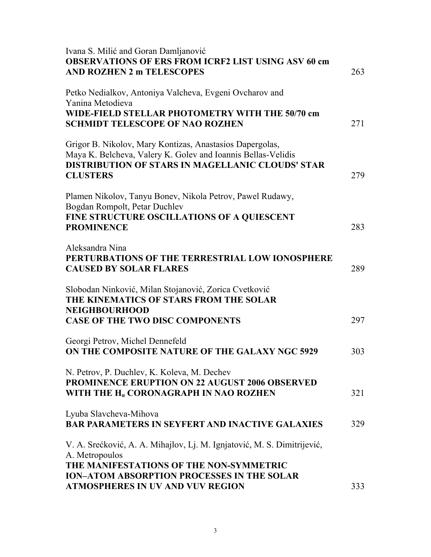| Ivana S. Milić and Goran Damljanović<br><b>OBSERVATIONS OF ERS FROM ICRF2 LIST USING ASV 60 cm</b><br><b>AND ROZHEN 2 m TELESCOPES</b>                                                                 | 263 |
|--------------------------------------------------------------------------------------------------------------------------------------------------------------------------------------------------------|-----|
| Petko Nedialkov, Antoniya Valcheva, Evgeni Ovcharov and<br>Yanina Metodieva<br>WIDE-FIELD STELLAR PHOTOMETRY WITH THE 50/70 cm<br><b>SCHMIDT TELESCOPE OF NAO ROZHEN</b>                               | 271 |
| Grigor B. Nikolov, Mary Kontizas, Anastasios Dapergolas,<br>Maya K. Belcheva, Valery K. Golev and Ioannis Bellas-Velidis<br><b>DISTRIBUTION OF STARS IN MAGELLANIC CLOUDS' STAR</b><br><b>CLUSTERS</b> | 279 |
| Plamen Nikolov, Tanyu Bonev, Nikola Petrov, Pawel Rudawy,<br>Bogdan Rompolt, Petar Duchlev<br>FINE STRUCTURE OSCILLATIONS OF A QUIESCENT<br><b>PROMINENCE</b>                                          | 283 |
| Aleksandra Nina<br>PERTURBATIONS OF THE TERRESTRIAL LOW IONOSPHERE<br><b>CAUSED BY SOLAR FLARES</b>                                                                                                    | 289 |
| Slobodan Ninković, Milan Stojanović, Zorica Cvetković<br>THE KINEMATICS OF STARS FROM THE SOLAR<br><b>NEIGHBOURHOOD</b><br><b>CASE OF THE TWO DISC COMPONENTS</b>                                      | 297 |
| Georgi Petrov, Michel Dennefeld<br>ON THE COMPOSITE NATURE OF THE GALAXY NGC 5929                                                                                                                      | 303 |
| N. Petrov, P. Duchlev, K. Koleva, M. Dechev<br><b>PROMINENCE ERUPTION ON 22 AUGUST 2006 OBSERVED</b><br>WITH THE H <sub>a</sub> CORONAGRAPH IN NAO ROZHEN                                              | 321 |
| Lyuba Slavcheva-Mihova<br><b>BAR PARAMETERS IN SEYFERT AND INACTIVE GALAXIES</b>                                                                                                                       | 329 |
| V. A. Srećković, A. A. Mihajlov, Lj. M. Ignjatović, M. S. Dimitrijević,<br>A. Metropoulos<br>THE MANIFESTATIONS OF THE NON-SYMMETRIC                                                                   |     |
| <b>ION-ATOM ABSORPTION PROCESSES IN THE SOLAR</b><br>ATMOSPHERES IN UV AND VUV REGION                                                                                                                  | 333 |